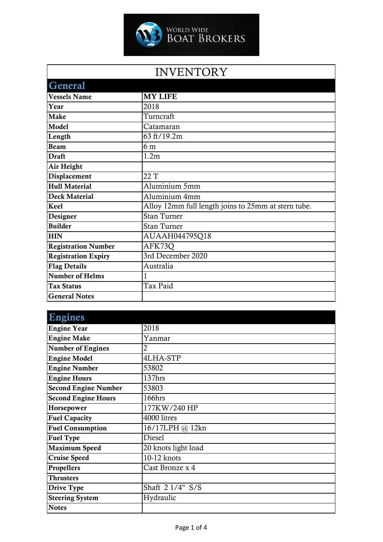

| INVENTORY |  |
|-----------|--|
|           |  |

| <b>General</b>             |                                                     |
|----------------------------|-----------------------------------------------------|
| <b>Vessels Name</b>        | <b>MY LIFE</b>                                      |
| Year                       | 2018                                                |
| <b>Make</b>                | Turncraft                                           |
| Model                      | Catamaran                                           |
| Length                     | 63 ft/19.2m                                         |
| <b>Beam</b>                | 6 <sub>m</sub>                                      |
| <b>Draft</b>               | 1.2m                                                |
| Air Height                 |                                                     |
| Displacement               | 22 T                                                |
| <b>Hull Material</b>       | Aluminium 5mm                                       |
| <b>Deck Material</b>       | Aluminium 4mm                                       |
| <b>Keel</b>                | Alloy 12mm full length joins to 25mm at stern tube. |
| Designer                   | <b>Stan Turner</b>                                  |
| <b>Builder</b>             | <b>Stan Turner</b>                                  |
| <b>HIN</b>                 | AUAAH044795Q18                                      |
| <b>Registration Number</b> | AFK73Q                                              |
| <b>Registration Expiry</b> | 3rd December 2020                                   |
| <b>Flag Details</b>        | Australia                                           |
| <b>Number of Helms</b>     |                                                     |
| <b>Tax Status</b>          | Tax Paid                                            |
| <b>General Notes</b>       |                                                     |

| <b>Engines</b>              |                     |
|-----------------------------|---------------------|
| <b>Engine Year</b>          | 2018                |
| <b>Engine Make</b>          | Yanmar              |
| <b>Number of Engines</b>    | 2                   |
| <b>Engine Model</b>         | 4LHA-STP            |
| <b>Engine Number</b>        | 53802               |
| <b>Engine Hours</b>         | 137hrs              |
| <b>Second Engine Number</b> | 53803               |
| <b>Second Engine Hours</b>  | 166hrs              |
| Horsepower                  | 177KW/240 HP        |
| <b>Fuel Capacity</b>        | 4000 litres         |
| <b>Fuel Consumption</b>     | 16/17LPH @ 12kn     |
| <b>Fuel Type</b>            | Diesel              |
| <b>Maximum Speed</b>        | 20 knots light load |
| <b>Cruise Speed</b>         | 10-12 knots         |
| Propellers                  | Cast Bronze x 4     |
| <b>Thrusters</b>            |                     |
| Drive Type                  | Shaft 2 1/4" S/S    |
| <b>Steering System</b>      | Hydraulic           |
| <b>Notes</b>                |                     |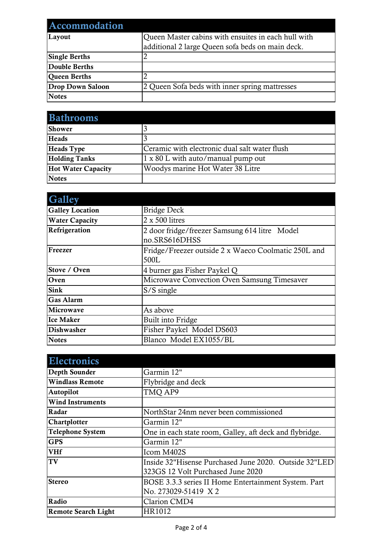| Accommodation           |                                                     |
|-------------------------|-----------------------------------------------------|
| Layout                  | Queen Master cabins with ensuites in each hull with |
|                         | additional 2 large Queen sofa beds on main deck.    |
| <b>Single Berths</b>    |                                                     |
| <b>Double Berths</b>    |                                                     |
| <b>Oueen Berths</b>     |                                                     |
| <b>Drop Down Saloon</b> | 2 Queen Sofa beds with inner spring mattresses      |
| <b>Notes</b>            |                                                     |

| <b>Bathrooms</b>          |                                               |
|---------------------------|-----------------------------------------------|
| Shower                    |                                               |
| <b>Heads</b>              |                                               |
| <b>Heads</b> Type         | Ceramic with electronic dual salt water flush |
| <b>Holding Tanks</b>      | 1 x 80 L with auto/manual pump out            |
| <b>Hot Water Capacity</b> | Woodys marine Hot Water 38 Litre              |
| <b>Notes</b>              |                                               |

| <b>Galley</b>          |                                                                |
|------------------------|----------------------------------------------------------------|
| <b>Galley Location</b> | <b>Bridge Deck</b>                                             |
| <b>Water Capacity</b>  | 2 x 500 litres                                                 |
| Refrigeration          | 2 door fridge/freezer Samsung 614 litre Model<br>no.SRS616DHSS |
| Freezer                | Fridge/Freezer outside 2 x Waeco Coolmatic 250L and<br>500L    |
| Stove / Oven           | 4 burner gas Fisher Paykel Q                                   |
| Oven                   | Microwave Convection Oven Samsung Timesaver                    |
| <b>Sink</b>            | $S/S$ single                                                   |
| <b>Gas Alarm</b>       |                                                                |
| Microwave              | As above                                                       |
| <b>Ice Maker</b>       | Built into Fridge                                              |
| Dishwasher             | Fisher Paykel Model DS603                                      |
| <b>Notes</b>           | Blanco Model EX1055/BL                                         |

| <b>Electronics</b>         |                                                         |
|----------------------------|---------------------------------------------------------|
| Depth Sounder              | Garmin 12"                                              |
| <b>Windlass Remote</b>     | Flybridge and deck                                      |
| Autopilot                  | TMQ AP9                                                 |
| <b>Wind Instruments</b>    |                                                         |
| Radar                      | NorthStar 24nm never been commissioned                  |
| Chartplotter               | Garmin 12"                                              |
| <b>Telephone System</b>    | One in each state room, Galley, aft deck and flybridge. |
| <b>GPS</b>                 | Garmin 12"                                              |
| <b>VHf</b>                 | Icom M402S                                              |
| TV                         | Inside 32"Hisense Purchased June 2020. Outside 32"LED   |
|                            | 323GS 12 Volt Purchased June 2020                       |
| <b>Stereo</b>              | BOSE 3.3.3 series II Home Entertainment System. Part    |
|                            | No. 273029-51419 X2                                     |
| Radio                      | <b>Clarion CMD4</b>                                     |
| <b>Remote Search Light</b> | HR1012                                                  |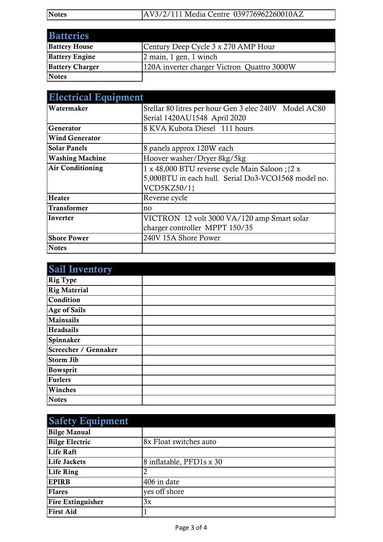| <b>Notes</b> | AV3/2/111 Media Centre 039776962260010AZ |  |
|--------------|------------------------------------------|--|

| <b>Batteries</b>       |                                             |
|------------------------|---------------------------------------------|
| <b>Battery House</b>   | Century Deep Cycle 3 x 270 AMP Hour         |
| <b>Battery Engine</b>  | $\alpha$ 2 main, 1 gen, 1 winch             |
| <b>Battery Charger</b> | 120A inverter charger Victron Quattro 3000W |
| Notes                  |                                             |

| <b>Electrical Equipment</b> |                                                       |  |
|-----------------------------|-------------------------------------------------------|--|
| Watermaker                  | Stellar 80 litres per hour Gen 3 elec 240V Model AC80 |  |
|                             | Serial 1420AU1548 April 2020                          |  |
| Generator                   | 8 KVA Kubota Diesel 111 hours                         |  |
| <b>Wind Generator</b>       |                                                       |  |
| <b>Solar Panels</b>         | 8 panels approx 120W each                             |  |
| <b>Washing Machine</b>      | Hoover washer/Dryer 8kg/5kg                           |  |
| <b>Air Conditioning</b>     | 1 x 48,000 BTU reverse cycle Main Saloon ; {2 x       |  |
|                             | 5,000BTU in each hull. Serial Do3-VCO1568 model no.   |  |
|                             | VCD5KZ50/1}                                           |  |
| Heater                      | Reverse cycle                                         |  |
| <b>Transformer</b>          | no                                                    |  |
| Inverter                    | VICTRON 12 volt 3000 VA/120 amp Smart solar           |  |
|                             | charger controller MPPT 150/35                        |  |
| <b>Shore Power</b>          | 240V 15A Shore Power                                  |  |
| <b>Notes</b>                |                                                       |  |

| <b>Sail Inventory</b> |  |
|-----------------------|--|
| <b>Rig Type</b>       |  |
| <b>Rig Material</b>   |  |
| Condition             |  |
| <b>Age of Sails</b>   |  |
| <b>Mainsails</b>      |  |
| <b>Headsails</b>      |  |
| Spinnaker             |  |
| Screecher / Gennaker  |  |
| <b>Storm Jib</b>      |  |
| Bowsprit              |  |
| <b>Furlers</b>        |  |
| Winches               |  |
| <b>Notes</b>          |  |

| <b>Safety Equipment</b>  |                          |
|--------------------------|--------------------------|
| <b>Bilge Manual</b>      |                          |
| <b>Bilge Electric</b>    | 8x Float switches auto   |
| <b>Life Raft</b>         |                          |
| <b>Life Jackets</b>      | 8 inflatable, PFD1s x 30 |
| Life Ring                |                          |
| <b>EPIRB</b>             | 406 in date              |
| <b>Flares</b>            | yes off shore            |
| <b>Fire Extinguisher</b> | 3x                       |
| <b>First Aid</b>         |                          |